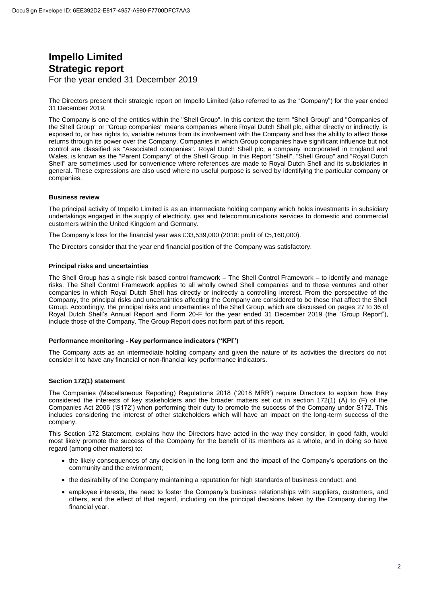# **Impello Limited Strategic report**  For the year ended 31 December 2019

The Directors present their strategic report on Impello Limited (also referred to as the "Company") for the year ended 31 December 2019.

The Company is one of the entities within the "Shell Group". In this context the term "Shell Group" and "Companies of the Shell Group" or "Group companies" means companies where Royal Dutch Shell plc, either directly or indirectly, is exposed to, or has rights to, variable returns from its involvement with the Company and has the ability to affect those returns through its power over the Company. Companies in which Group companies have significant influence but not control are classified as "Associated companies". Royal Dutch Shell plc, a company incorporated in England and Wales, is known as the "Parent Company" of the Shell Group. In this Report "Shell", "Shell Group" and "Royal Dutch Shell" are sometimes used for convenience where references are made to Royal Dutch Shell and its subsidiaries in general. These expressions are also used where no useful purpose is served by identifying the particular company or companies.

# **Business review**

The principal activity of Impello Limited is as an intermediate holding company which holds investments in subsidiary undertakings engaged in the supply of electricity, gas and telecommunications services to domestic and commercial customers within the United Kingdom and Germany.

The Company's loss for the financial year was £33,539,000 (2018: profit of £5,160,000).

The Directors consider that the year end financial position of the Company was satisfactory.

# **Principal risks and uncertainties**

The Shell Group has a single risk based control framework – The Shell Control Framework – to identify and manage risks. The Shell Control Framework applies to all wholly owned Shell companies and to those ventures and other companies in which Royal Dutch Shell has directly or indirectly a controlling interest. From the perspective of the Company, the principal risks and uncertainties affecting the Company are considered to be those that affect the Shell Group. Accordingly, the principal risks and uncertainties of the Shell Group, which are discussed on pages 27 to 36 of Royal Dutch Shell's Annual Report and Form 20-F for the year ended 31 December 2019 (the "Group Report"), include those of the Company. The Group Report does not form part of this report.

# **Performance monitoring - Key performance indicators ("KPI")**

The Company acts as an intermediate holding company and given the nature of its activities the directors do not consider it to have any financial or non-financial key performance indicators.

# **Section 172(1) statement**

The Companies (Miscellaneous Reporting) Regulations 2018 ('2018 MRR') require Directors to explain how they considered the interests of key stakeholders and the broader matters set out in section 172(1) (A) to (F) of the Companies Act 2006 ('S172') when performing their duty to promote the success of the Company under S172. This includes considering the interest of other stakeholders which will have an impact on the long-term success of the company.

This Section 172 Statement, explains how the Directors have acted in the way they consider, in good faith, would most likely promote the success of the Company for the benefit of its members as a whole, and in doing so have regard (among other matters) to:

- the likely consequences of any decision in the long term and the impact of the Company's operations on the community and the environment;
- the desirability of the Company maintaining a reputation for high standards of business conduct; and
- employee interests, the need to foster the Company's business relationships with suppliers, customers, and others, and the effect of that regard, including on the principal decisions taken by the Company during the financial year.